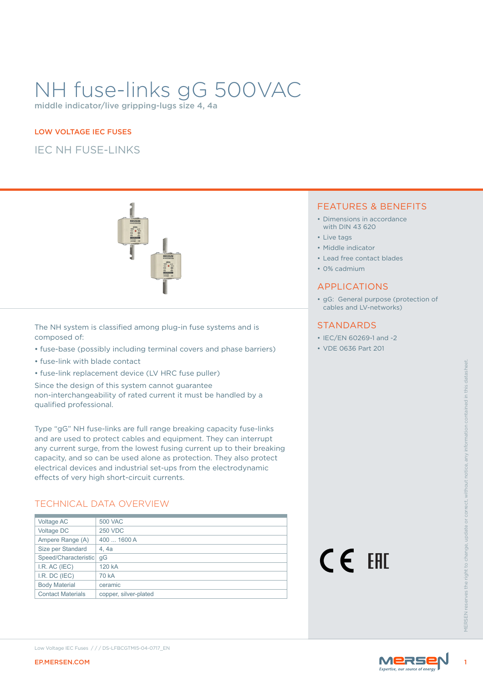# NH fuse-links gG 500VAC

middle indicator/live gripping-lugs size 4, 4a

#### LOW VOLTAGE IEC FUSES

IEC NH FUSE-LINKS



The NH system is classified among plug-in fuse systems and is composed of:

- fuse-base (possibly including terminal covers and phase barriers)
- fuse-link with blade contact
- fuse-link replacement device (LV HRC fuse puller)

### TECHNICAL DATA OVERVIEW

#### FEATURES & BENEFITS

- Dimensions in accordance with DIN 43 620
- Live tags
- Middle indicator
- Lead free contact blades
- 0% cadmium

#### APPLICATIONS

• gG: General purpose (protection of cables and LV-networks)

#### **STANDARDS**

- IEC/EN 60269-1 and -2
- VDE 0636 Part 201

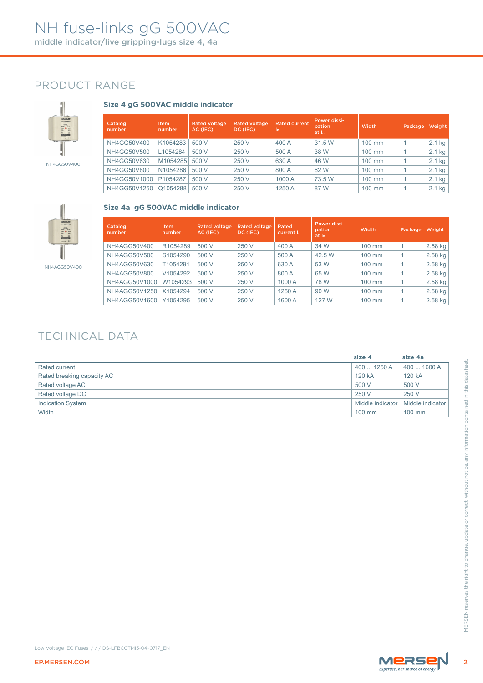### PRODUCT RANGE



### **Size 4 gG 500VAC middle indicator**

| Catalog<br>number | <b>Item</b><br>number | <b>Rated voltage</b><br>AC (IEC) | <b>Rated voltage</b><br>DC (IEC) | <b>Rated current</b><br>In. | <b>Power dissi-</b><br>pation<br>at I <sub>n</sub> | Width            | Package | <b>Weight</b> |
|-------------------|-----------------------|----------------------------------|----------------------------------|-----------------------------|----------------------------------------------------|------------------|---------|---------------|
| NH4GG50V400       | K1054283              | 500 V                            | 250 V                            | 400 A                       | 31.5 W                                             | 100 mm           |         | 2.1 kg        |
| NH4GG50V500       | L1054284              | 500 V                            | 250 V                            | 500 A                       | 38 W                                               | $100 \text{ mm}$ |         | 2.1 kg        |
| NH4GG50V630       | M1054285              | 500 V                            | 250 V                            | 630 A                       | 46 W                                               | 100 mm           |         | 2.1 kg        |
| NH4GG50V800       | N1054286              | 500 V                            | 250 V                            | 800 A                       | 62 W                                               | $100 \text{ mm}$ |         | 2.1 kg        |
| NH4GG50V1000      | P1054287              | 500 V                            | 250 V                            | 1000 A                      | 73.5 W                                             | $100 \text{ mm}$ |         | 2.1 kg        |
| NH4GG50V1250      | Q1054288              | 500 V                            | 250 V                            | 1250 A                      | 87 W                                               | $100 \text{ mm}$ |         | 2.1 kg        |



#### **Size 4a gG 500VAC middle indicator**

| Catalog<br>number | Item<br>number | <b>Rated voltage</b><br>AC (IEC) | <b>Rated voltage</b><br>DC (IEC) | Rated<br>current I <sub>n</sub> | Power dissi-<br>pation<br>at I <sub>n</sub> | <b>Width</b>     | Package | Weight    |
|-------------------|----------------|----------------------------------|----------------------------------|---------------------------------|---------------------------------------------|------------------|---------|-----------|
| NH4AGG50V400      | R1054289       | 500 V                            | 250 V                            | 400 A                           | 34 W                                        | $100 \text{ mm}$ |         | $2.58$ kg |
| NH4AGG50V500      | S1054290       | 500 V                            | 250 V                            | 500 A                           | 42.5 W                                      | $100 \text{ mm}$ |         | 2.58 kg   |
| NH4AGG50V630      | T1054291       | 500 V                            | 250 V                            | 630 A                           | 53 W                                        | $100 \text{ mm}$ |         | 2.58 kg   |
| NH4AGG50V800      | V1054292       | 500 V                            | 250 V                            | 800 A                           | 65 W                                        | $100 \text{ mm}$ |         | 2.58 kg   |
| NH4AGG50V1000     | W1054293       | 500 V                            | 250 V                            | 1000 A                          | 78 W                                        | $100 \text{ mm}$ |         | 2.58 kg   |
| NH4AGG50V1250     | X1054294       | 500 V                            | 250 V                            | 1250 A                          | 90 W                                        | $100 \text{ mm}$ |         | $2.58$ kg |
| NH4AGG50V1600     | Y1054295       | 500 V                            | 250 V                            | 1600 A                          | 127 W                                       | $100 \text{ mm}$ |         | 2.58 kg   |

### TECHNICAL DATA

|                                                   | size 4           | size 4a          |
|---------------------------------------------------|------------------|------------------|
| Rated current                                     | 400  1250 A      | 400  1600 A      |
| Rated breaking capacity AC                        | 120 kA           | 120 kA           |
| Rated voltage AC                                  | 500 V            | 500 V            |
| Rated voltage DC                                  | 250 V            | 250 V            |
| Indication System                                 | Middle indicator | Middle indicator |
| Width                                             | 100 mm           | 100 mm           |
|                                                   |                  |                  |
| Low Voltage IEC Fuses /// DS-LFBCGTMI5-04-0717_EN |                  |                  |
| EP.MERSEN.COM                                     |                  | MERSEN           |

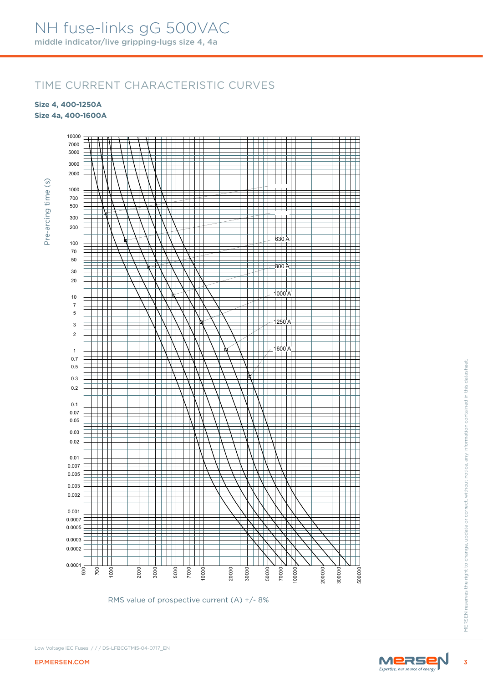### TIME CURRENT CHARACTERISTIC CURVES

**Size 4, 400-1250A Size 4a, 400-1600A**

Pre-arcing time (s)

Pre-arcing time (s)



RMS value of prospective current (A) +/- 8%



Low Voltage IEC Fuses / / / DS-LFBCGTMI5-04-0717\_EN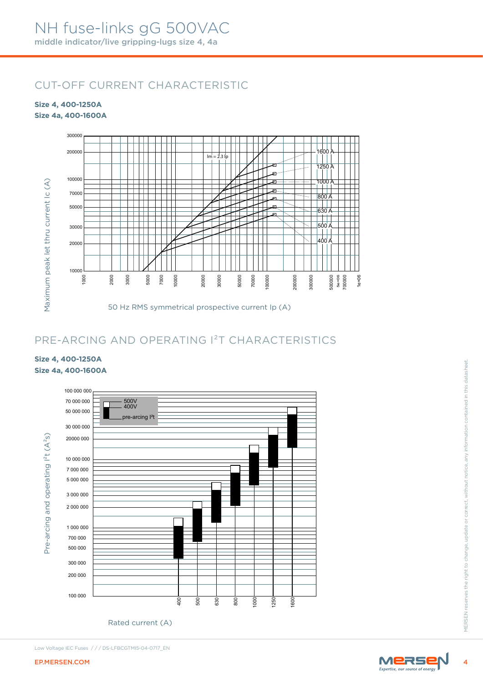### CUT-OFF CURRENT CHARACTERISTIC

#### **Size 4, 400-1250A Size 4a, 400-1600A**



### PRE-ARCING AND OPERATING I²T CHARACTERISTICS

### **Size 4, 400-1250A Size 4a, 400-1600A**



Rated current (A)



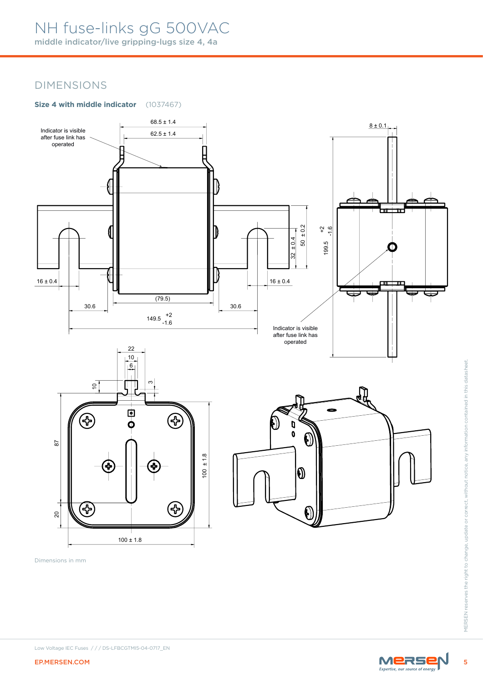# NH fuse-links gG 500VAC

middle indicator/live gripping-lugs size 4, 4a

### DIMENSIONS

### **Size 4 with middle indicator** (1037467)



Dimensions in mm